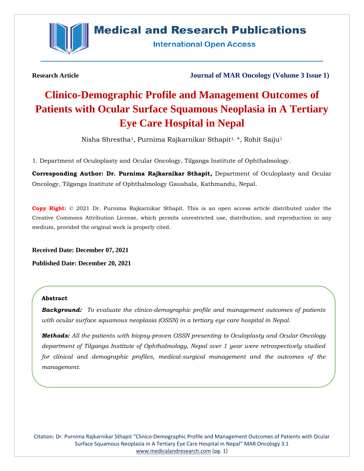

# **Medical and Research Publications**

**International Open Access** 

**Research Article Journal of MAR Oncology (Volume 3 Issue 1)**

# **Clinico-Demographic Profile and Management Outcomes of Patients with Ocular Surface Squamous Neoplasia in A Tertiary Eye Care Hospital in Nepal**

Nisha Shrestha1, Purnima Rajkarnikar Sthapit1, \*, Rohit Saiju<sup>1</sup>

1. Department of Oculoplasty and Ocular Oncology, Tilganga Institute of Ophthalmology.

**Corresponding Author: Dr. Purnima Rajkarnikar Sthapit,** Department of Oculoplasty and Ocular Oncology, Tilganga Institute of Ophthalmology Gaushala, Kathmandu, Nepal.

**Copy Right:** © 2021 Dr. Purnima Rajkarnikar Sthapit. This is an open access article distributed under the Creative Commons Attribution License, which permits unrestricted use, distribution, and reproduction in any medium, provided the original work is properly cited.

**Received Date: December 07, 2021**

**Published Date: December 20, 2021**

# **Abstract**

*Background: To evaluate the clinico-demographic profile and management outcomes of patients with ocular surface squamous neoplasia (OSSN) in a tertiary eye care hospital in Nepal.*

*Methods: All the patients with biopsy-proven OSSN presenting to Oculoplasty and Ocular Oncology department of Tilganga Institute of Ophthalmology, Nepal over 1 year were retrospectively studied*  for clinical and demographic profiles, medical-surgical management and the outcomes of the *management.*

Citation: Dr. Purnima Rajkarnikar Sthapit "Clinico-Demographic Profile and Management Outcomes of Patients with Ocular Surface Squamous Neoplasia in A Tertiary Eye Care Hospital in Nepal" MAR Oncology 3.1 [www.medicalandresearch.com](http://www.medicalandresearch.com/) (pg. 1)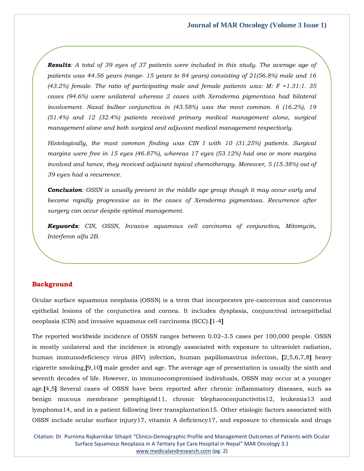*Results: A total of 39 eyes of 37 patients were included in this study. The average age of patients was 44.56 years (range- 15 years to 84 years) consisting of 21(56.8%) male and 16 (43.2%) female. The ratio of participating male and female patients was: M: F =1.31:1. 35 cases (94.6%) were unilateral whereas 2 cases with Xeroderma pigmentosa had bilateral involvement. Nasal bulbar conjunctiva in (43.58%) was the most common. 6 (16.2%), 19 (51.4%) and 12 (32.4%) patients received primary medical management alone, surgical management alone and both surgical and adjuvant medical management respectively.*

*Histologically, the most common finding was CIN I with 10 (31.25%) patients. Surgical margins were free in 15 eyes (46.87%), whereas 17 eyes (53.12%) had one or more margins involved and hence, they received adjuvant topical chemotherapy. Moreover, 5 (15.38%) out of 39 eyes had a recurrence.*

*Conclusion: OSSN is usually present in the middle age group though it may occur early and become rapidly progressive as in the cases of Xeroderma pigmentosa. Recurrence after surgery can occur despite optimal management.*

*Keywords: CIN, OSSN, Invasive squamous cell carcinoma of conjunctiva, Mitomycin, Interferon alfa 2B.*

# **Background**

Ocular surface squamous neoplasia (OSSN) is a term that incorporates pre-cancerous and cancerous epithelial lesions of the conjunctiva and cornea. It includes dysplasia, conjunctival intraepithelial neoplasia (CIN) and invasive squamous cell carcinoma (SCC).**[**1-4**]**

The reported worldwide incidence of OSSN ranges between 0.02–3.5 cases per 100,000 people. OSSN is mostly unilateral and the incidence is strongly associated with exposure to ultraviolet radiation, human immunodeficiency virus (HIV) infection, human papillomavirus infection, **[**2,5,6,7,8**]** heavy cigarette smoking,**[**9,10**]** male gender and age. The average age of presentation is usually the sixth and seventh decades of life. However, in immunocompromised individuals, OSSN may occur at a younger age.**[**4,5**]** Several cases of OSSN have been reported after chronic inflammatory diseases, such as benign mucous membrane pemphigoid11, chronic blepharoconjunctivitis12, leukemia13 and lymphoma14, and in a patient following liver transplantation15. Other etiologic factors associated with OSSN include ocular surface injury17, vitamin A deficiency17, and exposure to chemicals and drugs

Citation: Dr. Purnima Rajkarnikar Sthapit "Clinico-Demographic Profile and Management Outcomes of Patients with Ocular Surface Squamous Neoplasia in A Tertiary Eye Care Hospital in Nepal" MAR Oncology 3.1 [www.medicalandresearch.com](http://www.medicalandresearch.com/) (pg. 2)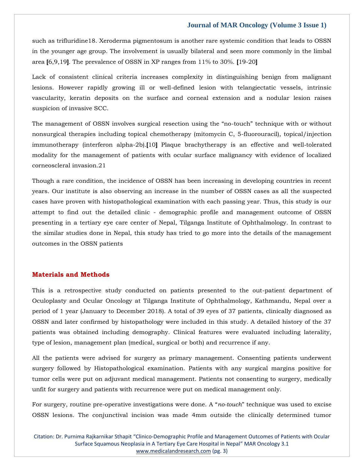such as trifluridine18. Xeroderma pigmentosum is another rare systemic condition that leads to OSSN in the younger age group. The involvement is usually bilateral and seen more commonly in the limbal area **[**6,9,19**]**. The prevalence of OSSN in XP ranges from 11% to 30%. **[**19-20**]**

Lack of consistent clinical criteria increases complexity in distinguishing benign from malignant lesions. However rapidly growing ill or well-defined lesion with telangiectatic vessels, intrinsic vascularity, keratin deposits on the surface and corneal extension and a nodular lesion raises suspicion of invasive SCC.

The management of OSSN involves surgical resection using the "no-touch" technique with or without nonsurgical therapies including topical chemotherapy (mitomycin C, 5-fluorouracil), topical/injection immunotherapy (interferon alpha-2b).**[**10**]** Plaque brachytherapy is an effective and well‐tolerated modality for the management of patients with ocular surface malignancy with evidence of localized corneoscleral invasion.21

Though a rare condition, the incidence of OSSN has been increasing in developing countries in recent years. Our institute is also observing an increase in the number of OSSN cases as all the suspected cases have proven with histopathological examination with each passing year. Thus, this study is our attempt to find out the detailed clinic - demographic profile and management outcome of OSSN presenting in a tertiary eye care center of Nepal, Tilganga Institute of Ophthalmology. In contrast to the similar studies done in Nepal, this study has tried to go more into the details of the management outcomes in the OSSN patients

# **Materials and Methods**

This is a retrospective study conducted on patients presented to the out-patient department of Oculoplasty and Ocular Oncology at Tilganga Institute of Ophthalmology, Kathmandu, Nepal over a period of 1 year (January to December 2018). A total of 39 eyes of 37 patients, clinically diagnosed as OSSN and later confirmed by histopathology were included in this study. A detailed history of the 37 patients was obtained including demography. Clinical features were evaluated including laterality, type of lesion, management plan (medical, surgical or both) and recurrence if any.

All the patients were advised for surgery as primary management. Consenting patients underwent surgery followed by Histopathological examination. Patients with any surgical margins positive for tumor cells were put on adjuvant medical management. Patients not consenting to surgery, medically unfit for surgery and patients with recurrence were put on medical management only.

For surgery, routine pre-operative investigations were done. A "*no-touch*" technique was used to excise OSSN lesions. The conjunctival incision was made 4mm outside the clinically determined tumor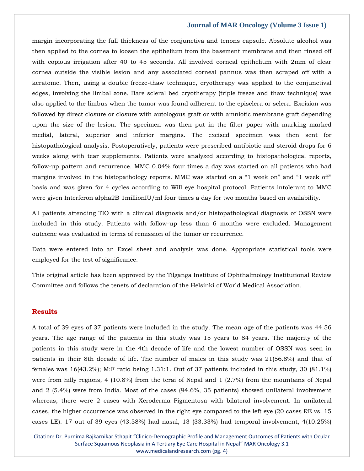margin incorporating the full thickness of the conjunctiva and tenons capsule. Absolute alcohol was then applied to the cornea to loosen the epithelium from the basement membrane and then rinsed off with copious irrigation after 40 to 45 seconds. All involved corneal epithelium with 2mm of clear cornea outside the visible lesion and any associated corneal pannus was then scraped off with a keratome. Then, using a double freeze-thaw technique, cryotherapy was applied to the conjunctival edges, involving the limbal zone. Bare scleral bed cryotherapy (triple freeze and thaw technique) was also applied to the limbus when the tumor was found adherent to the episclera or sclera. Excision was followed by direct closure or closure with autologous graft or with amniotic membrane graft depending upon the size of the lesion. The specimen was then put in the filter paper with marking marked medial, lateral, superior and inferior margins. The excised specimen was then sent for histopathological analysis. Postoperatively, patients were prescribed antibiotic and steroid drops for 6 weeks along with tear supplements. Patients were analyzed according to histopathological reports, follow-up pattern and recurrence. MMC 0.04% four times a day was started on all patients who had margins involved in the histopathology reports. MMC was started on a "1 week on" and "1 week off" basis and was given for 4 cycles according to Will eye hospital protocol. Patients intolerant to MMC were given Interferon alpha2B 1millionIU/ml four times a day for two months based on availability.

All patients attending TIO with a clinical diagnosis and/or histopathological diagnosis of OSSN were included in this study. Patients with follow-up less than 6 months were excluded. Management outcome was evaluated in terms of remission of the tumor or recurrence.

Data were entered into an Excel sheet and analysis was done. Appropriate statistical tools were employed for the test of significance.

This original article has been approved by the Tilganga Institute of Ophthalmology Institutional Review Committee and follows the tenets of declaration of the Helsinki of World Medical Association.

### **Results**

A total of 39 eyes of 37 patients were included in the study. The mean age of the patients was 44.56 years. The age range of the patients in this study was 15 years to 84 years. The majority of the patients in this study were in the 4th decade of life and the lowest number of OSSN was seen in patients in their 8th decade of life. The number of males in this study was 21(56.8%) and that of females was 16(43.2%); M:F ratio being 1.31:1. Out of 37 patients included in this study, 30 (81.1%) were from hilly regions, 4 (10.8%) from the terai of Nepal and 1 (2.7%) from the mountains of Nepal and 2 (5.4%) were from India. Most of the cases (94.6%, 35 patients) showed unilateral involvement whereas, there were 2 cases with Xeroderma Pigmentosa with bilateral involvement. In unilateral cases, the higher occurrence was observed in the right eye compared to the left eye (20 cases RE vs. 15 cases LE). 17 out of 39 eyes (43.58%) had nasal, 13 (33.33%) had temporal involvement, 4(10.25%)

Citation: Dr. Purnima Rajkarnikar Sthapit "Clinico-Demographic Profile and Management Outcomes of Patients with Ocular Surface Squamous Neoplasia in A Tertiary Eye Care Hospital in Nepal" MAR Oncology 3.1 [www.medicalandresearch.com](http://www.medicalandresearch.com/) (pg. 4)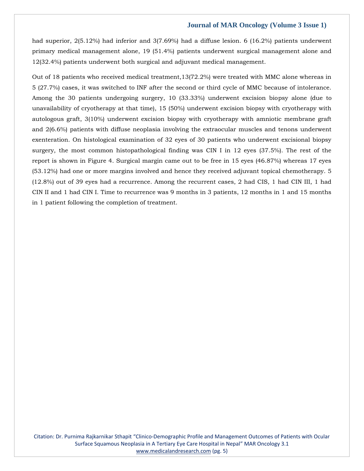had superior, 2(5.12%) had inferior and 3(7.69%) had a diffuse lesion. 6 (16.2%) patients underwent primary medical management alone, 19 (51.4%) patients underwent surgical management alone and 12(32.4%) patients underwent both surgical and adjuvant medical management.

Out of 18 patients who received medical treatment,13(72.2%) were treated with MMC alone whereas in 5 (27.7%) cases, it was switched to INF after the second or third cycle of MMC because of intolerance. Among the 30 patients undergoing surgery, 10 (33.33%) underwent excision biopsy alone (due to unavailability of cryotherapy at that time), 15 (50%) underwent excision biopsy with cryotherapy with autologous graft, 3(10%) underwent excision biopsy with cryotherapy with amniotic membrane graft and 2(6.6%) patients with diffuse neoplasia involving the extraocular muscles and tenons underwent exenteration. On histological examination of 32 eyes of 30 patients who underwent excisional biopsy surgery, the most common histopathological finding was CIN I in 12 eyes (37.5%). The rest of the report is shown in Figure 4. Surgical margin came out to be free in 15 eyes (46.87%) whereas 17 eyes (53.12%) had one or more margins involved and hence they received adjuvant topical chemotherapy. 5 (12.8%) out of 39 eyes had a recurrence. Among the recurrent cases, 2 had CIS, 1 had CIN III, 1 had CIN II and 1 had CIN I. Time to recurrence was 9 months in 3 patients, 12 months in 1 and 15 months in 1 patient following the completion of treatment.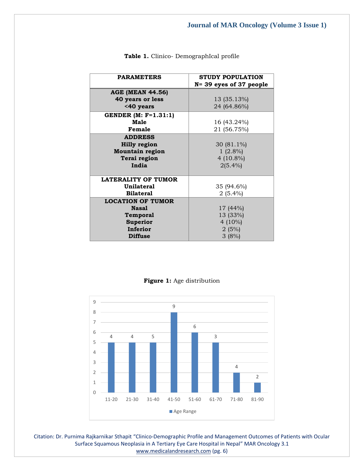| <b>PARAMETERS</b>              | <b>STUDY POPULATION</b>    |
|--------------------------------|----------------------------|
|                                | $N = 39$ eyes of 37 people |
| <b>AGE (MEAN 44.56)</b>        |                            |
| <b>40 years or less</b>        | 13 (35.13%)                |
| <40 years                      | 24 (64.86%)                |
| <b>GENDER</b> (M: $F=1.31:1$ ) |                            |
| Male                           | 16 (43.24%)                |
| Female                         | 21 (56.75%)                |
| <b>ADDRESS</b>                 |                            |
| <b>Hilly region</b>            | 30 $(81.1\%)$              |
| <b>Mountain region</b>         | $1(2.8\%)$                 |
| Terai region                   | 4 $(10.8\%)$               |
| India                          | $2(5.4\%)$                 |
|                                |                            |
| <b>LATERALITY OF TUMOR</b>     |                            |
| Unilateral                     | 35 (94.6%)                 |
| <b>Bilateral</b>               | $2(5.4\%)$                 |
| <b>LOCATION OF TUMOR</b>       |                            |
| <b>Nasal</b>                   | 17 (44%)                   |
| Temporal                       | 13 (33%)                   |
| <b>Superior</b>                | 4 $(10\%)$                 |
| Inferior                       | 2(5%)                      |
| <b>Diffuse</b>                 | 3(8%)                      |

Table 1. Clinico- DemographIcal profile



# **Figure 1:** Age distribution

Citation: Dr. Purnima Rajkarnikar Sthapit "Clinico-Demographic Profile and Management Outcomes of Patients with Ocular Surface Squamous Neoplasia in A Tertiary Eye Care Hospital in Nepal" MAR Oncology 3.1 [www.medicalandresearch.com](http://www.medicalandresearch.com/) (pg. 6)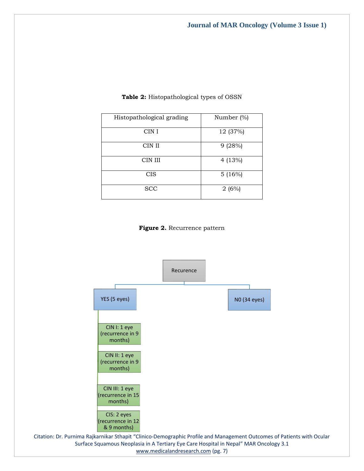| Histopathological grading | Number (%) |
|---------------------------|------------|
| CIN I                     | 12 (37%)   |
| CIN II                    | 9(28%)     |
| CIN III                   | 4 $(13%)$  |
| <b>CIS</b>                | 5(16%)     |
| <b>SCC</b>                | 2(6%)      |

# **Table 2:** Histopathological types of OSSN

**Figure 2.** Recurrence pattern



[www.medicalandresearch.com](http://www.medicalandresearch.com/) (pg. 7)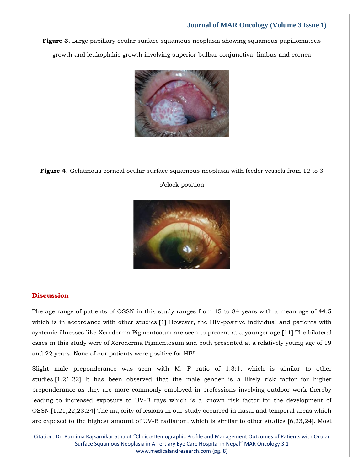**Figure 3.** Large papillary ocular surface squamous neoplasia showing squamous papillomatous growth and leukoplakic growth involving superior bulbar conjunctiva, limbus and cornea



**Figure 4.** Gelatinous corneal ocular surface squamous neoplasia with feeder vessels from 12 to 3

#### o'clock position



# **Discussion**

The age range of patients of OSSN in this study ranges from 15 to 84 years with a mean age of 44.5 which is in accordance with other studies.**[**1**]** However, the HIV-positive individual and patients with systemic illnesses like Xeroderma Pigmentosum are seen to present at a younger age.**[**11**]** The bilateral cases in this study were of Xeroderma Pigmentosum and both presented at a relatively young age of 19 and 22 years. None of our patients were positive for HIV.

Slight male preponderance was seen with M: F ratio of 1.3:1, which is similar to other studies.**[**1,21,22**]** It has been observed that the male gender is a likely risk factor for higher preponderance as they are more commonly employed in professions involving outdoor work thereby leading to increased exposure to UV-B rays which is a known risk factor for the development of OSSN.**[**1,21,22,23,24**]** The majority of lesions in our study occurred in nasal and temporal areas which are exposed to the highest amount of UV-B radiation, which is similar to other studies **[**6,23,24**]**. Most

Citation: Dr. Purnima Rajkarnikar Sthapit "Clinico-Demographic Profile and Management Outcomes of Patients with Ocular Surface Squamous Neoplasia in A Tertiary Eye Care Hospital in Nepal" MAR Oncology 3.1 [www.medicalandresearch.com](http://www.medicalandresearch.com/) (pg. 8)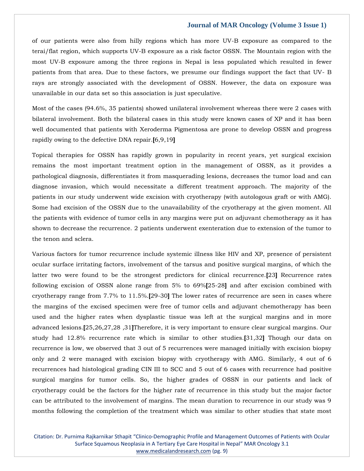of our patients were also from hilly regions which has more UV-B exposure as compared to the terai/flat region, which supports UV-B exposure as a risk factor OSSN. The Mountain region with the most UV-B exposure among the three regions in Nepal is less populated which resulted in fewer patients from that area. Due to these factors, we presume our findings support the fact that UV- B rays are strongly associated with the development of OSSN. However, the data on exposure was unavailable in our data set so this association is just speculative.

Most of the cases (94.6%, 35 patients) showed unilateral involvement whereas there were 2 cases with bilateral involvement. Both the bilateral cases in this study were known cases of XP and it has been well documented that patients with Xeroderma Pigmentosa are prone to develop OSSN and progress rapidly owing to the defective DNA repair.**[**6,9,19**]**

Topical therapies for OSSN has rapidly grown in popularity in recent years, yet surgical excision remains the most important treatment option in the management of OSSN, as it provides a pathological diagnosis, differentiates it from masquerading lesions, decreases the tumor load and can diagnose invasion, which would necessitate a different treatment approach. The majority of the patients in our study underwent wide excision with cryotherapy (with autologous graft or with AMG). Some had excision of the OSSN due to the unavailability of the cryotherapy at the given moment. All the patients with evidence of tumor cells in any margins were put on adjuvant chemotherapy as it has shown to decrease the recurrence. 2 patients underwent exenteration due to extension of the tumor to the tenon and sclera.

Various factors for tumor recurrence include systemic illness like HIV and XP, presence of persistent ocular surface irritating factors, involvement of the tarsus and positive surgical margins, of which the latter two were found to be the strongest predictors for clinical recurrence.**[**23**]** Recurrence rates following excision of OSSN alone range from 5% to 69%**[**25-28**]** and after excision combined with cryotherapy range from 7.7% to 11.5%.**[**29-30**]** The lower rates of recurrence are seen in cases where the margins of the excised specimen were free of tumor cells and adjuvant chemotherapy has been used and the higher rates when dysplastic tissue was left at the surgical margins and in more advanced lesions.**[**25,26,27,28 ,31**]**Therefore, it is very important to ensure clear surgical margins. Our study had 12.8% recurrence rate which is similar to other studies.**[**31,32**]** Though our data on recurrence is low, we observed that 3 out of 5 recurrences were managed initially with excision biopsy only and 2 were managed with excision biopsy with cryotherapy with AMG. Similarly, 4 out of 6 recurrences had histological grading CIN III to SCC and 5 out of 6 cases with recurrence had positive surgical margins for tumor cells. So, the higher grades of OSSN in our patients and lack of cryotherapy could be the factors for the higher rate of recurrence in this study but the major factor can be attributed to the involvement of margins. The mean duration to recurrence in our study was 9 months following the completion of the treatment which was similar to other studies that state most

Citation: Dr. Purnima Rajkarnikar Sthapit "Clinico-Demographic Profile and Management Outcomes of Patients with Ocular Surface Squamous Neoplasia in A Tertiary Eye Care Hospital in Nepal" MAR Oncology 3.1 [www.medicalandresearch.com](http://www.medicalandresearch.com/) (pg. 9)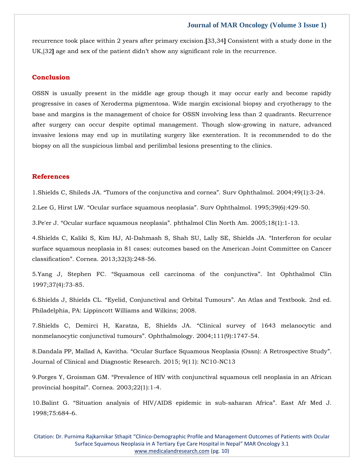recurrence took place within 2 years after primary excision.**[**33,34**]** Consistent with a study done in the UK,[32**]** age and sex of the patient didn't show any significant role in the recurrence.

#### **Conclusion**

OSSN is usually present in the middle age group though it may occur early and become rapidly progressive in cases of Xeroderma pigmentosa. Wide margin excisional biopsy and cryotherapy to the base and margins is the management of choice for OSSN involving less than 2 quadrants. Recurrence after surgery can occur despite optimal management. Though slow-growing in nature, advanced invasive lesions may end up in mutilating surgery like exenteration. It is recommended to do the biopsy on all the suspicious limbal and perilimbal lesions presenting to the clinics.

# **References**

1.[Shields C, Shileds JA. "Tumors of the conjunctiva and cornea". Surv Ophthalmol. 2](https://www.google.com/search?q=Tumors+of+the+conjunctiva+and+cornea&oq=Tumors+of+the+conjunctiva+and+cornea&aqs=chrome..69i57.1393j0j7&sourceid=chrome&ie=UTF-8)004;49(1):3-24.

2.Lee G, Hirst LW. "Ocular surface squamous neoplasia"[. Surv Ophthalmol. 1995;39\(6\):429-50.](https://www.google.com/search?q=Ocular+surface+squamous+neoplasia&sxsrf=AOaemvKFpCNqag4G4DZiQOA5vhKT37rL3A%3A1639037432656&ei=-LmxYZuCJ8fF4-EPmviH8AQ&ved=0ahUKEwib3sifotb0AhXH4jgGHRr8AU4Q4dUDCA4&uact=5&oq=Ocular+surface+squamous+neoplasia&gs_lcp=Cgdnd3Mtd2l6EAMyBwgjEOoCECcyBwgjEOoCECcyBwgjEOoCECcyBwgjEOoCECcyBwgjEOoCECcyBwgjEOoCECcyBwgjEOoCECcyBwgjEOoCECcyBwgjEOoCECcyBwgjEOoCECdKBAhBGABKBAhGGABQkQpYkQpgnwpoAXACeACAAQCIAQCSAQCYAQCgAQGgAQKwAQrAAQE&sclient=gws-wiz)

3.Pe'er J. "Ocular surface squamous neoplasia"[. phthalmol Clin North Am. 2005;18\(1\):1-13.](https://www.google.com/search?q=Ocular+surface+squamous+neoplasia&sxsrf=AOaemvKX2qgV9s5z1k7BLKat5z4bU89t-A%3A1639037473772&ei=IbqxYazyLfn1juMP1vmNgAM&ved=0ahUKEwjshpazotb0AhX5umMGHdZ8AzAQ4dUDCA4&uact=5&oq=Ocular+surface+squamous+neoplasia&gs_lcp=Cgdnd3Mtd2l6EAMyBAgAEEcyBAgAEEcyBAgAEEcyBAgAEEcyBAgAEEcyBAgAEEcyBAgAEEcyBAgAEEc6BwgjEOoCECdKBAhBGABKBAhGGABQ_QdY_QdgugtoAXADeACAAQCIAQCSAQCYAQCgAQGgAQKwAQrIAQjAAQE&sclient=gws-wiz)

4[.Shields C, Kaliki S, Kim HJ, Al-Dahmash S, Shah SU, Lally SE, Shields JA.](https://www.google.com/search?q=Interferon+for+ocular+surface+squamous+neoplasia+in+81+cases%3A+outcomes+based+on+the+American+Joint+Committee+on+Cancer+classification&sxsrf=AOaemvIWrcoAjnNwy-vBR4Al-QcEFiAYMQ%3A1639040233808&ei=6cSxYeCCMM6O4-EPrN-tiAk&ved=0ahUKEwigm6HXrNb0AhVOxzgGHaxvC5EQ4dUDCA4&uact=5&oq=Interferon+for+ocular+surface+squamous+neoplasia+in+81+cases%3A+outcomes+based+on+the+American+Joint+Committee+on+Cancer+classification&gs_lcp=Cgdnd3Mtd2l6EAMyBwgjEOoCECcyBwgjEOoCECcyBwgjEOoCECcyBwgjEOoCECcyBwgjEOoCECcyBwgjEOoCECcyBwgjEOoCECcyBwgjEOoCECcyBwgjEOoCECcyBwgjEOoCECdKBAhBGABKBAhGGABQvQpYvQpguQ1oAXACeACAAQCIAQCSAQCYAQCgAQGgAQKwAQrAAQE&sclient=gws-wiz) "Interferon for ocular [surface squamous neoplasia in 81 cases: outcomes based on the American Joint Committee on Cancer](https://www.google.com/search?q=Interferon+for+ocular+surface+squamous+neoplasia+in+81+cases%3A+outcomes+based+on+the+American+Joint+Committee+on+Cancer+classification&sxsrf=AOaemvIWrcoAjnNwy-vBR4Al-QcEFiAYMQ%3A1639040233808&ei=6cSxYeCCMM6O4-EPrN-tiAk&ved=0ahUKEwigm6HXrNb0AhVOxzgGHaxvC5EQ4dUDCA4&uact=5&oq=Interferon+for+ocular+surface+squamous+neoplasia+in+81+cases%3A+outcomes+based+on+the+American+Joint+Committee+on+Cancer+classification&gs_lcp=Cgdnd3Mtd2l6EAMyBwgjEOoCECcyBwgjEOoCECcyBwgjEOoCECcyBwgjEOoCECcyBwgjEOoCECcyBwgjEOoCECcyBwgjEOoCECcyBwgjEOoCECcyBwgjEOoCECcyBwgjEOoCECdKBAhBGABKBAhGGABQvQpYvQpguQ1oAXACeACAAQCIAQCSAQCYAQCgAQGgAQKwAQrAAQE&sclient=gws-wiz)  classification"[. Cornea. 2013;32\(3\):248-56.](https://www.google.com/search?q=Interferon+for+ocular+surface+squamous+neoplasia+in+81+cases%3A+outcomes+based+on+the+American+Joint+Committee+on+Cancer+classification&sxsrf=AOaemvIWrcoAjnNwy-vBR4Al-QcEFiAYMQ%3A1639040233808&ei=6cSxYeCCMM6O4-EPrN-tiAk&ved=0ahUKEwigm6HXrNb0AhVOxzgGHaxvC5EQ4dUDCA4&uact=5&oq=Interferon+for+ocular+surface+squamous+neoplasia+in+81+cases%3A+outcomes+based+on+the+American+Joint+Committee+on+Cancer+classification&gs_lcp=Cgdnd3Mtd2l6EAMyBwgjEOoCECcyBwgjEOoCECcyBwgjEOoCECcyBwgjEOoCECcyBwgjEOoCECcyBwgjEOoCECcyBwgjEOoCECcyBwgjEOoCECcyBwgjEOoCECcyBwgjEOoCECdKBAhBGABKBAhGGABQvQpYvQpguQ1oAXACeACAAQCIAQCSAQCYAQCgAQGgAQKwAQrAAQE&sclient=gws-wiz)

5.Yang J, Stephen FC. "[Squamous cell carcinoma of the conjunctiva](https://www.google.com/search?q=Squamous+cell+carcinoma+of+the+conjunctiva&sxsrf=AOaemvI7IFOU2gF8TUcwCfMXMrWcvZ7aww%3A1639040257343&ei=AcWxYabLE6GY4-EP4aOmyAc&ved=0ahUKEwjmz73irNb0AhUhzDgGHeGRCXkQ4dUDCA4&uact=5&oq=Squamous+cell+carcinoma+of+the+conjunctiva&gs_lcp=Cgdnd3Mtd2l6EAMyBQgAEIAEMgUIABCABDIGCAAQFhAeMgYIABAWEB4yBggAEBYQHjIGCAAQFhAeMgYIABAWEB4yBggAEBYQHjIGCAAQFhAeMgYIABAWEB46BwgjEOoCECdKBAhBGABKBAhGGABQ6gVY6gVgrAhoAXACeACAAeoBiAHqAZIBAzItMZgBAKABAaABArABCsABAQ&sclient=gws-wiz)". Int Ophthalmol Clin [1997;37\(4\):73-85.](https://www.google.com/search?q=Squamous+cell+carcinoma+of+the+conjunctiva&sxsrf=AOaemvI7IFOU2gF8TUcwCfMXMrWcvZ7aww%3A1639040257343&ei=AcWxYabLE6GY4-EP4aOmyAc&ved=0ahUKEwjmz73irNb0AhUhzDgGHeGRCXkQ4dUDCA4&uact=5&oq=Squamous+cell+carcinoma+of+the+conjunctiva&gs_lcp=Cgdnd3Mtd2l6EAMyBQgAEIAEMgUIABCABDIGCAAQFhAeMgYIABAWEB4yBggAEBYQHjIGCAAQFhAeMgYIABAWEB4yBggAEBYQHjIGCAAQFhAeMgYIABAWEB46BwgjEOoCECdKBAhBGABKBAhGGABQ6gVY6gVgrAhoAXACeACAAeoBiAHqAZIBAzItMZgBAKABAaABArABCsABAQ&sclient=gws-wiz)

6.Shields J, Shields CL. "[Eyelid, Conjunctival and Orbital Tumours](https://www.google.com/search?q=Eyelid%2C+Conjunctival+and+Orbital+Tumours&sxsrf=AOaemvK1BCiUhxsGlZ9DwA1yQcSg5foSwQ%3A1639040275130&ei=E8WxYenoBuKY4-EPid2F2Ak&ved=0ahUKEwipvvvqrNb0AhVizDgGHYluAZsQ4dUDCA4&uact=5&oq=Eyelid%2C+Conjunctival+and+Orbital+Tumours&gs_lcp=Cgdnd3Mtd2l6EAMyBAguEA06BwgjEOoCECdKBAhBGABKBAhGGABQyQVYyQVggAhoAXACeACAAZACiAGQApIBAzItMZgBAKABAaABArABCsABAQ&sclient=gws-wiz)". An Atlas and Textbook. 2nd ed. [Philadelphia, PA: Lippincott Williams and Wilkins; 2008.](https://www.google.com/search?q=Eyelid%2C+Conjunctival+and+Orbital+Tumours&sxsrf=AOaemvK1BCiUhxsGlZ9DwA1yQcSg5foSwQ%3A1639040275130&ei=E8WxYenoBuKY4-EPid2F2Ak&ved=0ahUKEwipvvvqrNb0AhVizDgGHYluAZsQ4dUDCA4&uact=5&oq=Eyelid%2C+Conjunctival+and+Orbital+Tumours&gs_lcp=Cgdnd3Mtd2l6EAMyBAguEA06BwgjEOoCECdKBAhBGABKBAhGGABQyQVYyQVggAhoAXACeACAAZACiAGQApIBAzItMZgBAKABAaABArABCsABAQ&sclient=gws-wiz)

7[.Shields C, Demirci H, Karatza, E, Shields JA.](https://www.google.com/search?q=Clinical+survey+of+1643+melanocytic+and+nonmelanocytic+conjunctival+tumours&sxsrf=AOaemvIUgXxiuHr-p-7ICnbAagPV1UCZNw%3A1639040293963&ei=JcWxYffjOYWe4-EP4PukyAk&ved=0ahUKEwi3ivnzrNb0AhUFzzgGHeA9CZkQ4dUDCA4&uact=5&oq=Clinical+survey+of+1643+melanocytic+and+nonmelanocytic+conjunctival+tumours&gs_lcp=Cgdnd3Mtd2l6EAMyBAgAEA06BwgjEOoCECdKBAhBGABKBAhGGABQ7QVY7QVg1wtoAXAAeACAAbICiAGyApIBAzMtMZgBAKABAaABArABCsABAQ&sclient=gws-wiz) "Clinical survey of 1643 melanocytic and nonmelanocytic conjunctival tumours"[. Ophthalmology. 2004;111\(9\):1747-54.](https://www.google.com/search?q=Clinical+survey+of+1643+melanocytic+and+nonmelanocytic+conjunctival+tumours&sxsrf=AOaemvIUgXxiuHr-p-7ICnbAagPV1UCZNw%3A1639040293963&ei=JcWxYffjOYWe4-EP4PukyAk&ved=0ahUKEwi3ivnzrNb0AhUFzzgGHeA9CZkQ4dUDCA4&uact=5&oq=Clinical+survey+of+1643+melanocytic+and+nonmelanocytic+conjunctival+tumours&gs_lcp=Cgdnd3Mtd2l6EAMyBAgAEA06BwgjEOoCECdKBAhBGABKBAhGGABQ7QVY7QVg1wtoAXAAeACAAbICiAGyApIBAzMtMZgBAKABAaABArABCsABAQ&sclient=gws-wiz)

8.Dandala PP, Mallad A, Kavitha. "[Ocular Surface Squamous Neoplasia \(Ossn\): A Retrospective Study](https://www.google.com/search?q=Ocular+Surface+Squamous+Neoplasia+%28Ossn%29%3A+A+Retrospective+Study&sxsrf=AOaemvIxxtJHZjdT7xJu2iM3yH5B2aAYLQ%3A1639040338653&ei=UsWxYajgJviG4-EP0ro7&ved=0ahUKEwio0aCJrdb0AhV4wzgGHVLdDgAQ4dUDCA4&uact=5&oq=Ocular+Surface+Squamous+Neoplasia+%28Ossn%29%3A+A+Retrospective+Study&gs_lcp=Cgdnd3Mtd2l6EAMyBwgjEOoCECcyBwgjEOoCECcyBwgjEOoCECcyBwgjEOoCECcyBwgjEOoCECcyBwgjEOoCECcyBwgjEOoCECcyBwgjEOoCECcyBwgjEOoCECcyBwgjEOoCECdKBAhBGABKBAhGGABQ9AVY9AVglQhoAXAAeACAAQCIAQCSAQCYAQCgAQGgAQKwAQrAAQE&sclient=gws-wiz)". [Journal of Clinical and Diagnostic Research. 2015; 9\(11\): NC10-NC13](https://www.google.com/search?q=Ocular+Surface+Squamous+Neoplasia+%28Ossn%29%3A+A+Retrospective+Study&sxsrf=AOaemvIxxtJHZjdT7xJu2iM3yH5B2aAYLQ%3A1639040338653&ei=UsWxYajgJviG4-EP0ro7&ved=0ahUKEwio0aCJrdb0AhV4wzgGHVLdDgAQ4dUDCA4&uact=5&oq=Ocular+Surface+Squamous+Neoplasia+%28Ossn%29%3A+A+Retrospective+Study&gs_lcp=Cgdnd3Mtd2l6EAMyBwgjEOoCECcyBwgjEOoCECcyBwgjEOoCECcyBwgjEOoCECcyBwgjEOoCECcyBwgjEOoCECcyBwgjEOoCECcyBwgjEOoCECcyBwgjEOoCECcyBwgjEOoCECdKBAhBGABKBAhGGABQ9AVY9AVglQhoAXAAeACAAQCIAQCSAQCYAQCgAQGgAQKwAQrAAQE&sclient=gws-wiz)

9.Porges Y, Groisman GM. "Prevalence of [HIV with conjunctival squamous cell neoplasia in an African](https://www.google.com/search?q=Prevalence+of+HIV+with+conjunctival+squamous+cell+neoplasia+in+an+African+provincial+hospital&sxsrf=AOaemvJbnzH8U2nuF7VWBWbW3uhNjy-jJA%3A1639040361595&ei=acWxYfL8IpmW4-EPoOGEyA0&ved=0ahUKEwiy1ZiUrdb0AhUZyzgGHaAwAdkQ4dUDCA4&uact=5&oq=Prevalence+of+HIV+with+conjunctival+squamous+cell+neoplasia+in+an+African+provincial+hospital&gs_lcp=Cgdnd3Mtd2l6EAM6BwgjEOoCECdKBAhBGABKBAhGGABQxwZYxwZgowloAXACeACAAdsBiAHbAZIBAzItMZgBAKABAaABArABCsABAQ&sclient=gws-wiz)  provincial hospital"[. Cornea. 2003;22\(1\):1-4.](https://www.google.com/search?q=Prevalence+of+HIV+with+conjunctival+squamous+cell+neoplasia+in+an+African+provincial+hospital&sxsrf=AOaemvJbnzH8U2nuF7VWBWbW3uhNjy-jJA%3A1639040361595&ei=acWxYfL8IpmW4-EPoOGEyA0&ved=0ahUKEwiy1ZiUrdb0AhUZyzgGHaAwAdkQ4dUDCA4&uact=5&oq=Prevalence+of+HIV+with+conjunctival+squamous+cell+neoplasia+in+an+African+provincial+hospital&gs_lcp=Cgdnd3Mtd2l6EAM6BwgjEOoCECdKBAhBGABKBAhGGABQxwZYxwZgowloAXACeACAAdsBiAHbAZIBAzItMZgBAKABAaABArABCsABAQ&sclient=gws-wiz)

10.Balint G. "[Situation analysis of HIV/AIDS epidemic in sub-saharan Africa](https://www.google.com/search?q=Situation+analysis+of+HIV%2FAIDS+epidemic+in+sub-saharan+Africa&sxsrf=AOaemvJkZnD8Rhuj_rdJrk7-DwW1XdceIw%3A1639040381643&ei=fcWxYbuNJoiV4-EPwqCAuA4&ved=0ahUKEwj7v-Cdrdb0AhWIyjgGHUIQAOcQ4dUDCA4&uact=5&oq=Situation+analysis+of+HIV%2FAIDS+epidemic+in+sub-saharan+Africa&gs_lcp=Cgdnd3Mtd2l6EAM6BwgjEOoCECdKBAhBGABKBAhGGABQ-gVY-gVgvwhoAXAAeACAAeIBiAHiAZIBAzItMZgBAKABAaABArABCsABAQ&sclient=gws-wiz)". East Afr Med J. [1998;75:684-6.](https://www.google.com/search?q=Situation+analysis+of+HIV%2FAIDS+epidemic+in+sub-saharan+Africa&sxsrf=AOaemvJkZnD8Rhuj_rdJrk7-DwW1XdceIw%3A1639040381643&ei=fcWxYbuNJoiV4-EPwqCAuA4&ved=0ahUKEwj7v-Cdrdb0AhWIyjgGHUIQAOcQ4dUDCA4&uact=5&oq=Situation+analysis+of+HIV%2FAIDS+epidemic+in+sub-saharan+Africa&gs_lcp=Cgdnd3Mtd2l6EAM6BwgjEOoCECdKBAhBGABKBAhGGABQ-gVY-gVgvwhoAXAAeACAAeIBiAHiAZIBAzItMZgBAKABAaABArABCsABAQ&sclient=gws-wiz)

Citation: Dr. Purnima Rajkarnikar Sthapit "Clinico-Demographic Profile and Management Outcomes of Patients with Ocular Surface Squamous Neoplasia in A Tertiary Eye Care Hospital in Nepal" MAR Oncology 3.1 [www.medicalandresearch.com](http://www.medicalandresearch.com/) (pg. 10)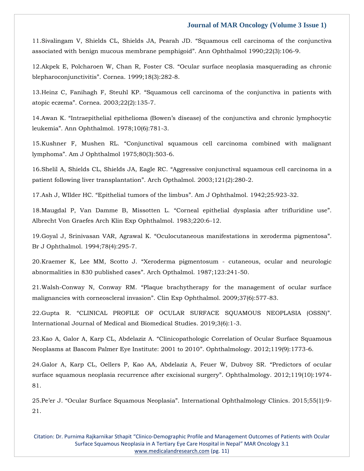11[.Sivalingam V, Shields CL, Shields JA, Pearah JD.](https://www.google.com/search?q=Squamous+cell+carcinoma+of+the+conjunctiva+associated+with+benign+mucous+membrane+pemphigoid&sxsrf=AOaemvL3YFVhEudljKbsH6IUONTpbxca5w%3A1639040423032&ei=p8WxYYpvrYnj4Q-j_rvYCQ&ved=0ahUKEwjK3r6xrdb0AhWtxDgGHSP_DpsQ4dUDCA4&uact=5&oq=Squamous+cell+carcinoma+of+the+conjunctiva+associated+with+benign+mucous+membrane+pemphigoid&gs_lcp=Cgdnd3Mtd2l6EAM6BwgjEOoCECdKBAhBGABKBAhGGABQ5AVY5AVgkAhoAXACeACAAfQBiAH0AZIBAzItMZgBAKABAaABArABCsABAQ&sclient=gws-wiz) "Squamous cell carcinoma of the conjunctiva associated with benign mucous membrane pemphigoid"[. Ann Ophthalmol 1990;22\(3\):106-9.](https://www.google.com/search?q=Squamous+cell+carcinoma+of+the+conjunctiva+associated+with+benign+mucous+membrane+pemphigoid&sxsrf=AOaemvL3YFVhEudljKbsH6IUONTpbxca5w%3A1639040423032&ei=p8WxYYpvrYnj4Q-j_rvYCQ&ved=0ahUKEwjK3r6xrdb0AhWtxDgGHSP_DpsQ4dUDCA4&uact=5&oq=Squamous+cell+carcinoma+of+the+conjunctiva+associated+with+benign+mucous+membrane+pemphigoid&gs_lcp=Cgdnd3Mtd2l6EAM6BwgjEOoCECdKBAhBGABKBAhGGABQ5AVY5AVgkAhoAXACeACAAfQBiAH0AZIBAzItMZgBAKABAaABArABCsABAQ&sclient=gws-wiz)

12.Akpek E, Polcharoen W, Chan R, Foster CS. "[Ocular surface neoplasia masquerading as chronic](https://www.google.com/search?q=Ocular+surface+neoplasia+masquerading+as+chronic+blepharoconjunctivitis&sxsrf=AOaemvLYknjgJI97WnntgU4abnoBB61R-w%3A1639040439414&ei=t8WxYZqSGP2X4-EPy7q24A4&ved=0ahUKEwjayaa5rdb0AhX9yzgGHUudDewQ4dUDCA4&uact=5&oq=Ocular+surface+neoplasia+masquerading+as+chronic+blepharoconjunctivitis&gs_lcp=Cgdnd3Mtd2l6EAM6BwgjEOoCECdKBAhBGABKBAhGGABQrwZYrwZgwAhoAXAAeACAAeMBiAHjAZIBAzItMZgBAKABAaABArABCsABAQ&sclient=gws-wiz)  blepharoconjunctivitis"[. Cornea. 1999;18\(3\):282-8.](https://www.google.com/search?q=Ocular+surface+neoplasia+masquerading+as+chronic+blepharoconjunctivitis&sxsrf=AOaemvLYknjgJI97WnntgU4abnoBB61R-w%3A1639040439414&ei=t8WxYZqSGP2X4-EPy7q24A4&ved=0ahUKEwjayaa5rdb0AhX9yzgGHUudDewQ4dUDCA4&uact=5&oq=Ocular+surface+neoplasia+masquerading+as+chronic+blepharoconjunctivitis&gs_lcp=Cgdnd3Mtd2l6EAM6BwgjEOoCECdKBAhBGABKBAhGGABQrwZYrwZgwAhoAXAAeACAAeMBiAHjAZIBAzItMZgBAKABAaABArABCsABAQ&sclient=gws-wiz)

13.Heinz C, Fanihagh F, Steuhl KP. "[Squamous cell carcinoma of the conjunctiva in patients with](https://www.google.com/search?q=Squamous+cell+carcinoma+of+the+conjunctiva+in+patients+with+atopic+eczema&sxsrf=AOaemvJsf8ywBBviy5NBbpANT8GdK_5AFA%3A1639040458067&ei=ysWxYYqJA8-a4-EPyLmQmAo&ved=0ahUKEwiKlpnCrdb0AhVPzTgGHcgcBKMQ4dUDCA4&uact=5&oq=Squamous+cell+carcinoma+of+the+conjunctiva+in+patients+with+atopic+eczema&gs_lcp=Cgdnd3Mtd2l6EAM6BwgjEOoCECdKBAhBGABKBAhGGABQ7wVY7wVglAhoAXAAeACAAekBiAHpAZIBAzItMZgBAKABAaABArABCsABAQ&sclient=gws-wiz)  atopic eczema"[. Cornea. 2003;22\(2\):135-7.](https://www.google.com/search?q=Squamous+cell+carcinoma+of+the+conjunctiva+in+patients+with+atopic+eczema&sxsrf=AOaemvJsf8ywBBviy5NBbpANT8GdK_5AFA%3A1639040458067&ei=ysWxYYqJA8-a4-EPyLmQmAo&ved=0ahUKEwiKlpnCrdb0AhVPzTgGHcgcBKMQ4dUDCA4&uact=5&oq=Squamous+cell+carcinoma+of+the+conjunctiva+in+patients+with+atopic+eczema&gs_lcp=Cgdnd3Mtd2l6EAM6BwgjEOoCECdKBAhBGABKBAhGGABQ7wVY7wVglAhoAXAAeACAAekBiAHpAZIBAzItMZgBAKABAaABArABCsABAQ&sclient=gws-wiz)

14.Awan K. ["Intraepithelial epithelioma \(Bowen's disease\) of the conjunctiva and chronic lymphocytic](https://www.google.com/search?q=Intraepithelial+epithelioma+%28Bowen%E2%80%99s+disease%29+of+the+conjunctiva+and+chronic+lymphocytic+leukemia&sxsrf=AOaemvKz_lAQyZ5y3HRuJLPcv827LMDqCA%3A1639040483218&ei=48WxYdiZDPiZ4-EPu7OzuA0&ved=0ahUKEwiYl5jOrdb0AhX4zDgGHbvZDNcQ4dUDCA4&uact=5&oq=Intraepithelial+epithelioma+%28Bowen%E2%80%99s+disease%29+of+the+conjunctiva+and+chronic+lymphocytic+leukemia&gs_lcp=Cgdnd3Mtd2l6EAM6BwgjEOoCECdKBAhBGABKBAhGGABQ-wVY-wVglwhoAXAAeACAAYwCiAGMApIBAzItMZgBAKABAaABArABCsABAQ&sclient=gws-wiz)  leukemia"[. Ann Ophthalmol. 1978;10\(6\):781-3.](https://www.google.com/search?q=Intraepithelial+epithelioma+%28Bowen%E2%80%99s+disease%29+of+the+conjunctiva+and+chronic+lymphocytic+leukemia&sxsrf=AOaemvKz_lAQyZ5y3HRuJLPcv827LMDqCA%3A1639040483218&ei=48WxYdiZDPiZ4-EPu7OzuA0&ved=0ahUKEwiYl5jOrdb0AhX4zDgGHbvZDNcQ4dUDCA4&uact=5&oq=Intraepithelial+epithelioma+%28Bowen%E2%80%99s+disease%29+of+the+conjunctiva+and+chronic+lymphocytic+leukemia&gs_lcp=Cgdnd3Mtd2l6EAM6BwgjEOoCECdKBAhBGABKBAhGGABQ-wVY-wVglwhoAXAAeACAAYwCiAGMApIBAzItMZgBAKABAaABArABCsABAQ&sclient=gws-wiz)

15.Kushner F, Mushen RL. "[Conjunctival squamous cell carcinoma combined with malignant](https://www.google.com/search?q=Conjunctival+squamous+cell+carcinoma+combined+with+malignant+lymphoma&sxsrf=AOaemvIIK1NJta_4_s-fppdOfUw7aLO30A%3A1639040501436&ei=9cWxYY7KGeHH4-EP3N672A0&ved=0ahUKEwjOmPDWrdb0AhXh4zgGHVzvDtsQ4dUDCA4&uact=5&oq=Conjunctival+squamous+cell+carcinoma+combined+with+malignant+lymphoma&gs_lcp=Cgdnd3Mtd2l6EAM6BwgjEOoCECdKBAhBGABKBAhGGABQpgVYpgVg-QdoAXAAeACAAfwBiAH8AZIBAzItMZgBAKABAaABArABCsABAQ&sclient=gws-wiz)  lymphoma"[. Am J Ophthalmol 1975;80\(3\):503-6.](https://www.google.com/search?q=Conjunctival+squamous+cell+carcinoma+combined+with+malignant+lymphoma&sxsrf=AOaemvIIK1NJta_4_s-fppdOfUw7aLO30A%3A1639040501436&ei=9cWxYY7KGeHH4-EP3N672A0&ved=0ahUKEwjOmPDWrdb0AhXh4zgGHVzvDtsQ4dUDCA4&uact=5&oq=Conjunctival+squamous+cell+carcinoma+combined+with+malignant+lymphoma&gs_lcp=Cgdnd3Mtd2l6EAM6BwgjEOoCECdKBAhBGABKBAhGGABQpgVYpgVg-QdoAXAAeACAAfwBiAH8AZIBAzItMZgBAKABAaABArABCsABAQ&sclient=gws-wiz)

16.Shelil A, Shields CL, Shields JA, Eagle RC. "[Aggressive conjunctival squamous cell carcinoma in a](https://www.google.com/search?q=Aggressive+conjunctival+squamous+cell+carcinoma+in+a+patient+following+liver+transplantation&sxsrf=AOaemvI2ozafbK-DmRf1qWZpZLotBf8j_g%3A1639040534717&ei=FsaxYYjZKoyV4-EPscWh4AU&ved=0ahUKEwiIvN_mrdb0AhWMyjgGHbFiCFwQ4dUDCA4&uact=5&oq=Aggressive+conjunctival+squamous+cell+carcinoma+in+a+patient+following+liver+transplantation&gs_lcp=Cgdnd3Mtd2l6EAM6BwgjEOoCECdKBAhBGABKBAhGGABQoAJYoAJgogRoAXACeACAAc8BiAHPAZIBAzItMZgBAKABAaABArABCsABAQ&sclient=gws-wiz)  patient following liver transplantation"[. Arch Opthalmol. 2003;121\(2\):280-2.](https://www.google.com/search?q=Aggressive+conjunctival+squamous+cell+carcinoma+in+a+patient+following+liver+transplantation&sxsrf=AOaemvI2ozafbK-DmRf1qWZpZLotBf8j_g%3A1639040534717&ei=FsaxYYjZKoyV4-EPscWh4AU&ved=0ahUKEwiIvN_mrdb0AhWMyjgGHbFiCFwQ4dUDCA4&uact=5&oq=Aggressive+conjunctival+squamous+cell+carcinoma+in+a+patient+following+liver+transplantation&gs_lcp=Cgdnd3Mtd2l6EAM6BwgjEOoCECdKBAhBGABKBAhGGABQoAJYoAJgogRoAXACeACAAc8BiAHPAZIBAzItMZgBAKABAaABArABCsABAQ&sclient=gws-wiz)

17.Ash J, WIlder HC. "Epithelial tumors of the limbus"[. Am J Ophthalmol. 1942;25:923-32.](https://www.google.com/search?q=Epithelial+tumors+of+the+limbus&sxsrf=AOaemvL8U0cUVv2snDgsbI7iHSi9S7j2UQ%3A1639040558344&ei=LsaxYYvcE76Q4-EP-diT8As&ved=0ahUKEwiLq4Hyrdb0AhU-yDgGHXnsBL4Q4dUDCA4&uact=5&oq=Epithelial+tumors+of+the+limbus&gs_lcp=Cgdnd3Mtd2l6EAMyBQghEKABOgcIIxDqAhAnSgQIQRgASgQIRhgAUPIJWPIJYNgMaAFwAHgAgAGvAogBrwKSAQMzLTGYAQCgAQGgAQKwAQrAAQE&sclient=gws-wiz)

18.Maugdal P, Van Damme B, Missotten L. "[Corneal epithelial dysplasia after trifluridine use](https://www.google.com/search?q=Corneal+epithelial+dysplasia+after+trifluridine+use&sxsrf=AOaemvJlEECrcS6vDqoSOWVrwRAwnv9TCg%3A1639040578797&ei=QsaxYZO3L82Q4-EPnriluAk&ved=0ahUKEwiT4OH7rdb0AhVNyDgGHR5cCZcQ4dUDCA4&uact=5&oq=Corneal+epithelial+dysplasia+after+trifluridine+use&gs_lcp=Cgdnd3Mtd2l6EAM6BwgjEOoCECdKBAhBGABKBAhGGABQsgZYsgZgywloAXAAeACAAZYCiAGWApIBAzItMZgBAKABAaABArABCsABAQ&sclient=gws-wiz)". [Albrecht Von Graefes Arch Klin Exp Ophthalmol. 1983;220:6-12.](https://www.google.com/search?q=Corneal+epithelial+dysplasia+after+trifluridine+use&sxsrf=AOaemvJlEECrcS6vDqoSOWVrwRAwnv9TCg%3A1639040578797&ei=QsaxYZO3L82Q4-EPnriluAk&ved=0ahUKEwiT4OH7rdb0AhVNyDgGHR5cCZcQ4dUDCA4&uact=5&oq=Corneal+epithelial+dysplasia+after+trifluridine+use&gs_lcp=Cgdnd3Mtd2l6EAM6BwgjEOoCECdKBAhBGABKBAhGGABQsgZYsgZgywloAXAAeACAAZYCiAGWApIBAzItMZgBAKABAaABArABCsABAQ&sclient=gws-wiz)

19.Goyal J, Srinivasan VAR, Agrawal K. "[Oculocutaneous manifestations in xeroderma pigmentosa](https://www.google.com/search?q=Oculocutaneous+manifestations+in+xeroderma+pigmentosa&sxsrf=AOaemvI46CxcrbKQRxwVeORVX4AvNKdI6Q%3A1639040614760&ei=ZsaxYamxLbSFr7wPpOG94Aw&ved=0ahUKEwip_PSMrtb0AhW0wosBHaRwD8wQ4dUDCA4&uact=5&oq=Oculocutaneous+manifestations+in+xeroderma+pigmentosa&gs_lcp=Cgdnd3Mtd2l6EAMyBwgjEOoCECcyBwgjEOoCECcyBwgjEOoCECcyBwgjEOoCECcyBwgjEOoCECcyBwgjEOoCECcyBwgjEOoCECcyBwgjEOoCECcyBwgjEOoCECcyBwgjEOoCECdKBAhBGABKBAhGGABQrQZYrQZgwAhoAXAAeACAAQCIAQCSAQCYAQCgAQGgAQKwAQrAAQE&sclient=gws-wiz)". [Br J Ophthalmol. 1994;78\(4\):295-7.](https://www.google.com/search?q=Oculocutaneous+manifestations+in+xeroderma+pigmentosa&sxsrf=AOaemvI46CxcrbKQRxwVeORVX4AvNKdI6Q%3A1639040614760&ei=ZsaxYamxLbSFr7wPpOG94Aw&ved=0ahUKEwip_PSMrtb0AhW0wosBHaRwD8wQ4dUDCA4&uact=5&oq=Oculocutaneous+manifestations+in+xeroderma+pigmentosa&gs_lcp=Cgdnd3Mtd2l6EAMyBwgjEOoCECcyBwgjEOoCECcyBwgjEOoCECcyBwgjEOoCECcyBwgjEOoCECcyBwgjEOoCECcyBwgjEOoCECcyBwgjEOoCECcyBwgjEOoCECcyBwgjEOoCECdKBAhBGABKBAhGGABQrQZYrQZgwAhoAXAAeACAAQCIAQCSAQCYAQCgAQGgAQKwAQrAAQE&sclient=gws-wiz)

20.Kraemer K, Lee MM, Scotto J. "Xeroderma pigmentosum - [cutaneous, ocular and neurologic](https://www.google.com/search?q=Xeroderma+pigmentosum+-+cutaneous%2C+ocular+and+neurologic+abnormalities+in+830+published+cases&sxsrf=AOaemvKkcopGITY6xjyllxuS1udnBCrGLQ%3A1639040633484&ei=ecaxYZjIHIfY0ATe1JLYBw&ved=0ahUKEwjY6OuVrtb0AhUHLJQKHV6qBHsQ4dUDCA4&uact=5&oq=Xeroderma+pigmentosum+-+cutaneous%2C+ocular+and+neurologic+abnormalities+in+830+published+cases&gs_lcp=Cgdnd3Mtd2l6EAM6BwgjEOoCECdKBAhBGABKBAhGGABQ6AZY6AZg_QhoAXAAeACAAcYBiAHGAZIBAzAuMZgBAKABAaABArABCsABAQ&sclient=gws-wiz)  [abnormalities in 830 published cases](https://www.google.com/search?q=Xeroderma+pigmentosum+-+cutaneous%2C+ocular+and+neurologic+abnormalities+in+830+published+cases&sxsrf=AOaemvKkcopGITY6xjyllxuS1udnBCrGLQ%3A1639040633484&ei=ecaxYZjIHIfY0ATe1JLYBw&ved=0ahUKEwjY6OuVrtb0AhUHLJQKHV6qBHsQ4dUDCA4&uact=5&oq=Xeroderma+pigmentosum+-+cutaneous%2C+ocular+and+neurologic+abnormalities+in+830+published+cases&gs_lcp=Cgdnd3Mtd2l6EAM6BwgjEOoCECdKBAhBGABKBAhGGABQ6AZY6AZg_QhoAXAAeACAAcYBiAHGAZIBAzAuMZgBAKABAaABArABCsABAQ&sclient=gws-wiz)". Arch Opthalmol. 1987;123:241-50.

21.Walsh-Conway N, Conway RM. "[Plaque brachytherapy for the management of ocular surface](https://www.google.com/search?q=Plaque+brachytherapy+for+the+management+of+ocular+surface+malignancies+with+corneoscleral+invasion&sxsrf=AOaemvLKw8eN6JH2l-4Apb5rB8Mkjx2XFA%3A1639040650916&ei=isaxYfzqNqmxmAXQ-Kq4CA&ved=0ahUKEwj815Oertb0AhWpGKYKHVC8CocQ4dUDCA4&uact=5&oq=Plaque+brachytherapy+for+the+management+of+ocular+surface+malignancies+with+corneoscleral+invasion&gs_lcp=Cgdnd3Mtd2l6EAM6BwgjEOoCECdKBAhBGABKBAhGGABQgwZYgwZgpAhoAXACeACAAYYCiAGGApIBAzItMZgBAKABAaABArABCsABAQ&sclient=gws-wiz)  malignancies with corneoscleral invasion"[. Clin Exp Ophthalmol. 2009;37\(6\):577-83.](https://www.google.com/search?q=Plaque+brachytherapy+for+the+management+of+ocular+surface+malignancies+with+corneoscleral+invasion&sxsrf=AOaemvLKw8eN6JH2l-4Apb5rB8Mkjx2XFA%3A1639040650916&ei=isaxYfzqNqmxmAXQ-Kq4CA&ved=0ahUKEwj815Oertb0AhWpGKYKHVC8CocQ4dUDCA4&uact=5&oq=Plaque+brachytherapy+for+the+management+of+ocular+surface+malignancies+with+corneoscleral+invasion&gs_lcp=Cgdnd3Mtd2l6EAM6BwgjEOoCECdKBAhBGABKBAhGGABQgwZYgwZgpAhoAXACeACAAYYCiAGGApIBAzItMZgBAKABAaABArABCsABAQ&sclient=gws-wiz)

22.Gupta R. "[CLINICAL PROFILE OF OCULAR SURFACE SQUAMOUS NEOPLASIA \(OSSN\)](https://www.google.com/search?q=CLINICAL+PROFILE+OF+OCULAR+SURFACE+SQUAMOUS+NEOPLASIA+%28OSSN%29%E2%80%9D.+&sxsrf=AOaemvJtZpEcpBvMQhL3CJJEqkgRm4Ubmg%3A1639040677971&ei=pcaxYc2aOqnDmAWIwIfQCw&ved=0ahUKEwiNgYerrtb0AhWpIaYKHQjgAboQ4dUDCA4&uact=5&oq=CLINICAL+PROFILE+OF+OCULAR+SURFACE+SQUAMOUS+NEOPLASIA+%28OSSN%29%E2%80%9D.+&gs_lcp=Cgdnd3Mtd2l6EAM6BwgjEOoCECdKBAhBGABKBAhGGABQ4gZY4gZgtAloAXAAeACAAfUBiAH1AZIBAzItMZgBAKABAaABArABCsABAQ&sclient=gws-wiz)". International Journal of [Medical and Biomedical Studies. 2019;3\(6\):1-3.](https://www.google.com/search?q=CLINICAL+PROFILE+OF+OCULAR+SURFACE+SQUAMOUS+NEOPLASIA+%28OSSN%29%E2%80%9D.+&sxsrf=AOaemvJtZpEcpBvMQhL3CJJEqkgRm4Ubmg%3A1639040677971&ei=pcaxYc2aOqnDmAWIwIfQCw&ved=0ahUKEwiNgYerrtb0AhWpIaYKHQjgAboQ4dUDCA4&uact=5&oq=CLINICAL+PROFILE+OF+OCULAR+SURFACE+SQUAMOUS+NEOPLASIA+%28OSSN%29%E2%80%9D.+&gs_lcp=Cgdnd3Mtd2l6EAM6BwgjEOoCECdKBAhBGABKBAhGGABQ4gZY4gZgtAloAXAAeACAAfUBiAH1AZIBAzItMZgBAKABAaABArABCsABAQ&sclient=gws-wiz)

23.Kao A, Galor A, Karp CL, Abdelaziz A. "[Clinicopathologic Correlation of Ocular Surface Squamous](https://www.google.com/search?q=Clinicopathologic+Correlation+of+Ocular+Surface+Squamous+Neoplasms+at+Bascom+Palmer+Eye+Institute%3A+2001+to+2010&sxsrf=AOaemvJNZQM8zgXRnVcW8wLqAGO_6r2GCQ%3A1639041235486&ei=08ixYfHHHJCS0gSM3IzwBg&ved=0ahUKEwix_fK0sNb0AhUQiZQKHQwuA24Q4dUDCA4&uact=5&oq=Clinicopathologic+Correlation+of+Ocular+Surface+Squamous+Neoplasms+at+Bascom+Palmer+Eye+Institute%3A+2001+to+2010&gs_lcp=Cgdnd3Mtd2l6EAMyBwgjEOoCECcyBwgjEOoCECcyBwgjEOoCECcyBwgjEOoCECcyBwgjEOoCECcyBwgjEOoCECcyBwgjEOoCECcyBwgjEOoCECcyBwgjEOoCECcyBwgjEOoCECdKBAhBGABKBAhGGABQ_wVY_wVg4whoAXAAeACAAQCIAQCSAQCYAQCgAQGgAQKwAQrAAQE&sclient=gws-wiz)  [Neoplasms at Bascom Palmer Eye Institute: 2001 to 2010](https://www.google.com/search?q=Clinicopathologic+Correlation+of+Ocular+Surface+Squamous+Neoplasms+at+Bascom+Palmer+Eye+Institute%3A+2001+to+2010&sxsrf=AOaemvJNZQM8zgXRnVcW8wLqAGO_6r2GCQ%3A1639041235486&ei=08ixYfHHHJCS0gSM3IzwBg&ved=0ahUKEwix_fK0sNb0AhUQiZQKHQwuA24Q4dUDCA4&uact=5&oq=Clinicopathologic+Correlation+of+Ocular+Surface+Squamous+Neoplasms+at+Bascom+Palmer+Eye+Institute%3A+2001+to+2010&gs_lcp=Cgdnd3Mtd2l6EAMyBwgjEOoCECcyBwgjEOoCECcyBwgjEOoCECcyBwgjEOoCECcyBwgjEOoCECcyBwgjEOoCECcyBwgjEOoCECcyBwgjEOoCECcyBwgjEOoCECcyBwgjEOoCECdKBAhBGABKBAhGGABQ_wVY_wVg4whoAXAAeACAAQCIAQCSAQCYAQCgAQGgAQKwAQrAAQE&sclient=gws-wiz)". Ophthalmology. 2012;119(9):1773-6.

24[.Galor A, Karp CL, Oellers P, Kao AA, Abdelaziz A, Feuer W, Dubvoy SR.](https://www.google.com/search?q=Predictors+of+ocular+surface+squamous+neoplasia+recurrence+after+excisional+surgery&sxsrf=AOaemvJyzBXrt0z38ssjUW_kfMEn3VAjWw%3A1639041253365&ei=5cixYeiSFYf90gTG7KtQ&ved=0ahUKEwiomba9sNb0AhWHvpQKHUb2CgoQ4dUDCA4&uact=5&oq=Predictors+of+ocular+surface+squamous+neoplasia+recurrence+after+excisional+surgery&gs_lcp=Cgdnd3Mtd2l6EAM6BwgjEOoCECdKBAhBGABKBAhGGABQhQZYhQZgpwhoAXAAeACAAYoCiAGKApIBAzItMZgBAKABAaABArABCsABAQ&sclient=gws-wiz) "Predictors of ocular [surface squamous neoplasia recurrence after excisional surgery](https://www.google.com/search?q=Predictors+of+ocular+surface+squamous+neoplasia+recurrence+after+excisional+surgery&sxsrf=AOaemvJyzBXrt0z38ssjUW_kfMEn3VAjWw%3A1639041253365&ei=5cixYeiSFYf90gTG7KtQ&ved=0ahUKEwiomba9sNb0AhWHvpQKHUb2CgoQ4dUDCA4&uact=5&oq=Predictors+of+ocular+surface+squamous+neoplasia+recurrence+after+excisional+surgery&gs_lcp=Cgdnd3Mtd2l6EAM6BwgjEOoCECdKBAhBGABKBAhGGABQhQZYhQZgpwhoAXAAeACAAYoCiAGKApIBAzItMZgBAKABAaABArABCsABAQ&sclient=gws-wiz)". Ophthalmology. 2012;119(10):1974- [81.](https://www.google.com/search?q=Predictors+of+ocular+surface+squamous+neoplasia+recurrence+after+excisional+surgery&sxsrf=AOaemvJyzBXrt0z38ssjUW_kfMEn3VAjWw%3A1639041253365&ei=5cixYeiSFYf90gTG7KtQ&ved=0ahUKEwiomba9sNb0AhWHvpQKHUb2CgoQ4dUDCA4&uact=5&oq=Predictors+of+ocular+surface+squamous+neoplasia+recurrence+after+excisional+surgery&gs_lcp=Cgdnd3Mtd2l6EAM6BwgjEOoCECdKBAhBGABKBAhGGABQhQZYhQZgpwhoAXAAeACAAYoCiAGKApIBAzItMZgBAKABAaABArABCsABAQ&sclient=gws-wiz)

25.Pe'er J. "Ocular Surface Squamous Neoplasia"[. International Ophthalmology Clinics. 2015;55\(1\):9-](https://www.google.com/search?q=Ocular+Surface+Squamous+Neoplasia&sxsrf=AOaemvL4OQzGWB3Okn5bxSSuHEdzS9D3mw%3A1639041272966&ei=-MixYcv3OYvm0QS06YzIDg&ved=0ahUKEwjL0-LGsNb0AhULc5QKHbQ0A-kQ4dUDCA4&uact=5&oq=Ocular+Surface+Squamous+Neoplasia&gs_lcp=Cgdnd3Mtd2l6EAMyBAgjECcyBAgjECcyBQgAEIAEMgQIABBDMgUIABCABDIFCAAQgAQyBQgAEIAEMgUIABCABDIFCAAQgAQyCggAEIAEEIcCEBQ6BwgjEOoCECdKBAhBGABKBAhGGABQ9QVY9QVglQhoAXAAeACAAYcCiAGHApIBAzItMZgBAKABAaABArABCsABAQ&sclient=gws-wiz) [21.](https://www.google.com/search?q=Ocular+Surface+Squamous+Neoplasia&sxsrf=AOaemvL4OQzGWB3Okn5bxSSuHEdzS9D3mw%3A1639041272966&ei=-MixYcv3OYvm0QS06YzIDg&ved=0ahUKEwjL0-LGsNb0AhULc5QKHbQ0A-kQ4dUDCA4&uact=5&oq=Ocular+Surface+Squamous+Neoplasia&gs_lcp=Cgdnd3Mtd2l6EAMyBAgjECcyBAgjECcyBQgAEIAEMgQIABBDMgUIABCABDIFCAAQgAQyBQgAEIAEMgUIABCABDIFCAAQgAQyCggAEIAEEIcCEBQ6BwgjEOoCECdKBAhBGABKBAhGGABQ9QVY9QVglQhoAXAAeACAAYcCiAGHApIBAzItMZgBAKABAaABArABCsABAQ&sclient=gws-wiz)

Citation: Dr. Purnima Rajkarnikar Sthapit "Clinico-Demographic Profile and Management Outcomes of Patients with Ocular Surface Squamous Neoplasia in A Tertiary Eye Care Hospital in Nepal" MAR Oncology 3.1 [www.medicalandresearch.com](http://www.medicalandresearch.com/) (pg. 11)